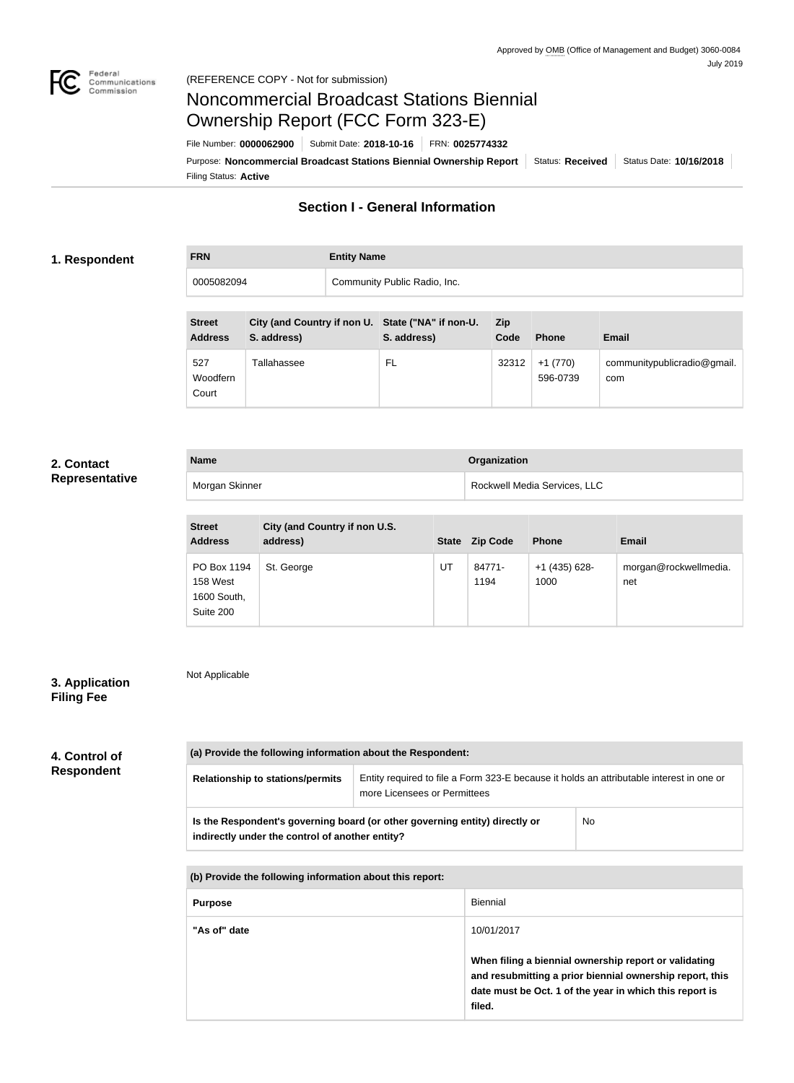

# Noncommercial Broadcast Stations Biennial Ownership Report (FCC Form 323-E)

Filing Status: **Active** Purpose: Noncommercial Broadcast Stations Biennial Ownership Report | Status: Received | Status Date: 10/16/2018 File Number: **0000062900** Submit Date: **2018-10-16** FRN: **0025774332**

# **Section I - General Information**

#### **1. Respondent**

**FRN Entity Name** 0005082094 Community Public Radio, Inc.

| <b>Street</b><br><b>Address</b> | City (and Country if non U. State ("NA" if non-U.<br>S. address) | S. address) | Zip<br>Code | <b>Phone</b>          | Email                              |
|---------------------------------|------------------------------------------------------------------|-------------|-------------|-----------------------|------------------------------------|
| 527<br>Woodfern<br>Court        | <b>Tallahassee</b>                                               | FL          | 32312       | $+1(770)$<br>596-0739 | communitypublicradio@gmail.<br>com |

#### **2. Contact Representative**

| <b>Name</b>    | Organization                 |
|----------------|------------------------------|
| Morgan Skinner | Rockwell Media Services, LLC |

| <b>Street</b><br><b>Address</b>                     | City (and Country if non U.S.<br>address) |    | State Zip Code | <b>Phone</b>            | <b>Email</b>                 |
|-----------------------------------------------------|-------------------------------------------|----|----------------|-------------------------|------------------------------|
| PO Box 1194<br>158 West<br>1600 South,<br>Suite 200 | St. George                                | UT | 84771-<br>1194 | $+1$ (435) 628-<br>1000 | morgan@rockwellmedia.<br>net |

# **3. Application Filing Fee**

Not Applicable

## **4. Control of Respondent**

| (a) Provide the following information about the Respondent:                                                                    |                                                                                                                          |                                                                                                                                                                                        |     |  |
|--------------------------------------------------------------------------------------------------------------------------------|--------------------------------------------------------------------------------------------------------------------------|----------------------------------------------------------------------------------------------------------------------------------------------------------------------------------------|-----|--|
| <b>Relationship to stations/permits</b>                                                                                        | Entity required to file a Form 323-E because it holds an attributable interest in one or<br>more Licensees or Permittees |                                                                                                                                                                                        |     |  |
| Is the Respondent's governing board (or other governing entity) directly or<br>indirectly under the control of another entity? |                                                                                                                          |                                                                                                                                                                                        | No. |  |
|                                                                                                                                |                                                                                                                          |                                                                                                                                                                                        |     |  |
| (b) Provide the following information about this report:                                                                       |                                                                                                                          |                                                                                                                                                                                        |     |  |
| <b>Purpose</b>                                                                                                                 |                                                                                                                          | <b>Biennial</b>                                                                                                                                                                        |     |  |
| "As of" date                                                                                                                   |                                                                                                                          | 10/01/2017                                                                                                                                                                             |     |  |
|                                                                                                                                |                                                                                                                          | When filing a biennial ownership report or validating<br>and resubmitting a prior biennial ownership report, this<br>date must be Oct. 1 of the year in which this report is<br>filed. |     |  |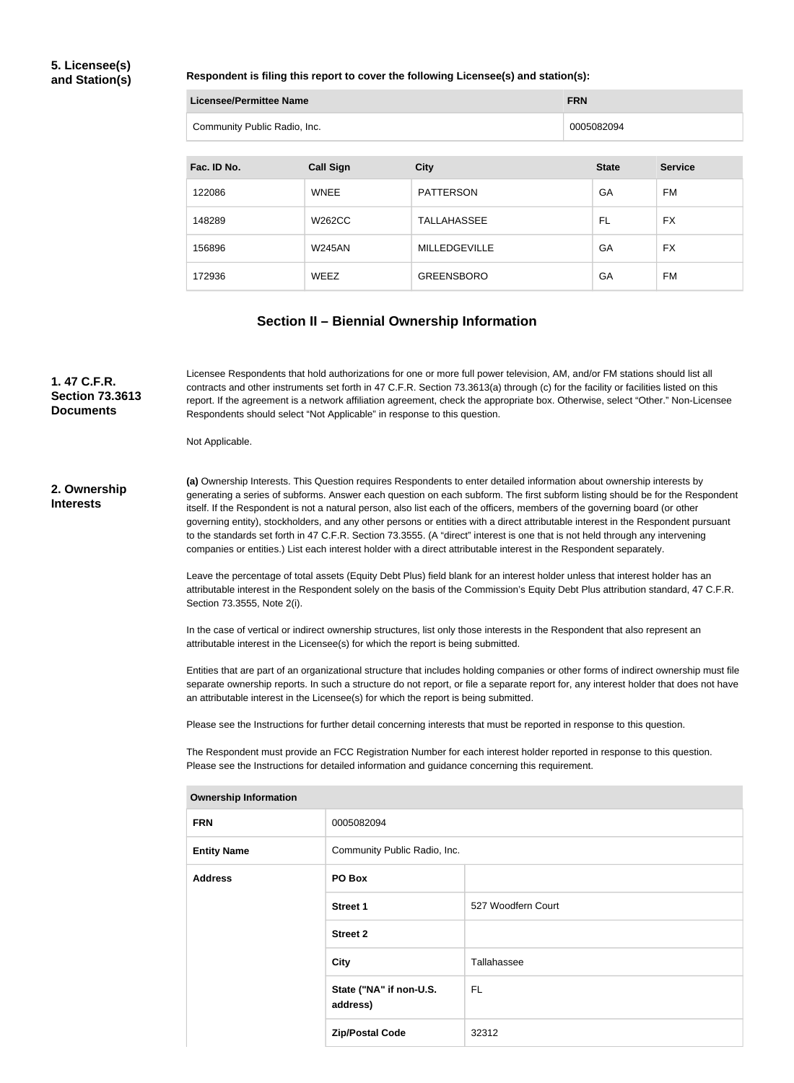#### **5. Licensee(s) and Station(s)**

#### **Respondent is filing this report to cover the following Licensee(s) and station(s):**

| Licensee/Permittee Name      | <b>FRN</b> |
|------------------------------|------------|
| Community Public Radio, Inc. | 0005082094 |

| Fac. ID No. | <b>Call Sign</b> | <b>City</b>          | <b>State</b> | <b>Service</b> |
|-------------|------------------|----------------------|--------------|----------------|
| 122086      | <b>WNEE</b>      | <b>PATTERSON</b>     | GA           | <b>FM</b>      |
| 148289      | W262CC           | <b>TALLAHASSEE</b>   | FL           | <b>FX</b>      |
| 156896      | <b>W245AN</b>    | <b>MILLEDGEVILLE</b> | GA           | <b>FX</b>      |
| 172936      | WEEZ             | <b>GREENSBORO</b>    | GA           | <b>FM</b>      |

#### **Section II – Biennial Ownership Information**

**(a)** Ownership Interests. This Question requires Respondents to enter detailed information about ownership interests by generating a series of subforms. Answer each question on each subform. The first subform listing should be for the Respondent itself. If the Respondent is not a natural person, also list each of the officers, members of the governing board (or other governing entity), stockholders, and any other persons or entities with a direct attributable interest in the Respondent pursuant to the standards set forth in 47 C.F.R. Section 73.3555. (A "direct" interest is one that is not held through any intervening companies or entities.) List each interest holder with a direct attributable interest in the Respondent separately. Leave the percentage of total assets (Equity Debt Plus) field blank for an interest holder unless that interest holder has an attributable interest in the Respondent solely on the basis of the Commission's Equity Debt Plus attribution standard, 47 C.F.R. Section 73.3555, Note 2(i). In the case of vertical or indirect ownership structures, list only those interests in the Respondent that also represent an attributable interest in the Licensee(s) for which the report is being submitted. Entities that are part of an organizational structure that includes holding companies or other forms of indirect ownership must file separate ownership reports. In such a structure do not report, or file a separate report for, any interest holder that does not have an attributable interest in the Licensee(s) for which the report is being submitted. Please see the Instructions for further detail concerning interests that must be reported in response to this question. The Respondent must provide an FCC Registration Number for each interest holder reported in response to this question. Please see the Instructions for detailed information and guidance concerning this requirement. **2. Ownership Interests** Licensee Respondents that hold authorizations for one or more full power television, AM, and/or FM stations should list all contracts and other instruments set forth in 47 C.F.R. Section 73.3613(a) through (c) for the facility or facilities listed on this report. If the agreement is a network affiliation agreement, check the appropriate box. Otherwise, select "Other." Non-Licensee Respondents should select "Not Applicable" in response to this question. Not Applicable. **1. 47 C.F.R. Section 73.3613 Documents**

| <b>Ownership Information</b> |                                     |                    |  |  |
|------------------------------|-------------------------------------|--------------------|--|--|
| <b>FRN</b>                   | 0005082094                          |                    |  |  |
| <b>Entity Name</b>           | Community Public Radio, Inc.        |                    |  |  |
| <b>Address</b>               | PO Box                              |                    |  |  |
|                              | <b>Street 1</b>                     | 527 Woodfern Court |  |  |
|                              | <b>Street 2</b>                     |                    |  |  |
|                              | City                                | Tallahassee        |  |  |
|                              | State ("NA" if non-U.S.<br>address) | FL.                |  |  |
|                              | <b>Zip/Postal Code</b>              | 32312              |  |  |
|                              |                                     |                    |  |  |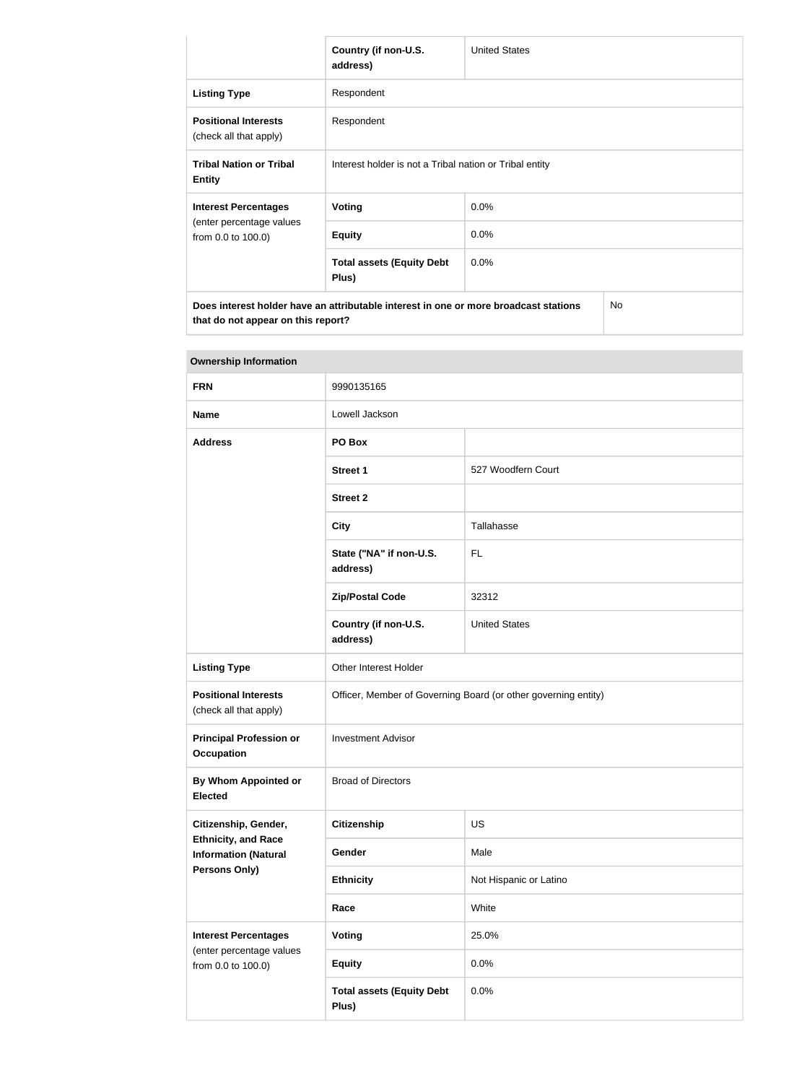|                                                                                                                            | Country (if non-U.S.<br>address)                        | <b>United States</b> |     |
|----------------------------------------------------------------------------------------------------------------------------|---------------------------------------------------------|----------------------|-----|
| <b>Listing Type</b>                                                                                                        | Respondent                                              |                      |     |
| <b>Positional Interests</b><br>(check all that apply)                                                                      | Respondent                                              |                      |     |
| <b>Tribal Nation or Tribal</b><br><b>Entity</b>                                                                            | Interest holder is not a Tribal nation or Tribal entity |                      |     |
| <b>Interest Percentages</b>                                                                                                | Voting                                                  | 0.0%                 |     |
| (enter percentage values<br>from 0.0 to 100.0)                                                                             | <b>Equity</b>                                           | 0.0%                 |     |
|                                                                                                                            | <b>Total assets (Equity Debt</b><br>Plus)               | $0.0\%$              |     |
| Does interest holder have an attributable interest in one or more broadcast stations<br>that do not appear on this report? |                                                         |                      | No. |

| <b>Ownership Information</b>                              |                                           |                                                                |  |  |
|-----------------------------------------------------------|-------------------------------------------|----------------------------------------------------------------|--|--|
| <b>FRN</b>                                                | 9990135165                                |                                                                |  |  |
| <b>Name</b>                                               | Lowell Jackson                            |                                                                |  |  |
| <b>Address</b>                                            | PO Box                                    |                                                                |  |  |
|                                                           | <b>Street 1</b>                           | 527 Woodfern Court                                             |  |  |
|                                                           | <b>Street 2</b>                           |                                                                |  |  |
|                                                           | <b>City</b>                               | Tallahasse                                                     |  |  |
|                                                           | State ("NA" if non-U.S.<br>address)       | <b>FL</b>                                                      |  |  |
|                                                           | <b>Zip/Postal Code</b>                    | 32312                                                          |  |  |
|                                                           | Country (if non-U.S.<br>address)          | <b>United States</b>                                           |  |  |
| <b>Listing Type</b>                                       | Other Interest Holder                     |                                                                |  |  |
| <b>Positional Interests</b><br>(check all that apply)     |                                           | Officer, Member of Governing Board (or other governing entity) |  |  |
| <b>Principal Profession or</b><br><b>Occupation</b>       | <b>Investment Advisor</b>                 |                                                                |  |  |
| <b>By Whom Appointed or</b><br><b>Elected</b>             | <b>Broad of Directors</b>                 |                                                                |  |  |
| Citizenship, Gender,                                      | <b>Citizenship</b>                        | <b>US</b>                                                      |  |  |
| <b>Ethnicity, and Race</b><br><b>Information (Natural</b> | Gender                                    | Male                                                           |  |  |
| Persons Only)                                             | <b>Ethnicity</b>                          | Not Hispanic or Latino                                         |  |  |
|                                                           | Race                                      | White                                                          |  |  |
| <b>Interest Percentages</b><br>(enter percentage values   | <b>Voting</b>                             | 25.0%                                                          |  |  |
| from 0.0 to 100.0)                                        | <b>Equity</b>                             | 0.0%                                                           |  |  |
|                                                           | <b>Total assets (Equity Debt</b><br>Plus) | 0.0%                                                           |  |  |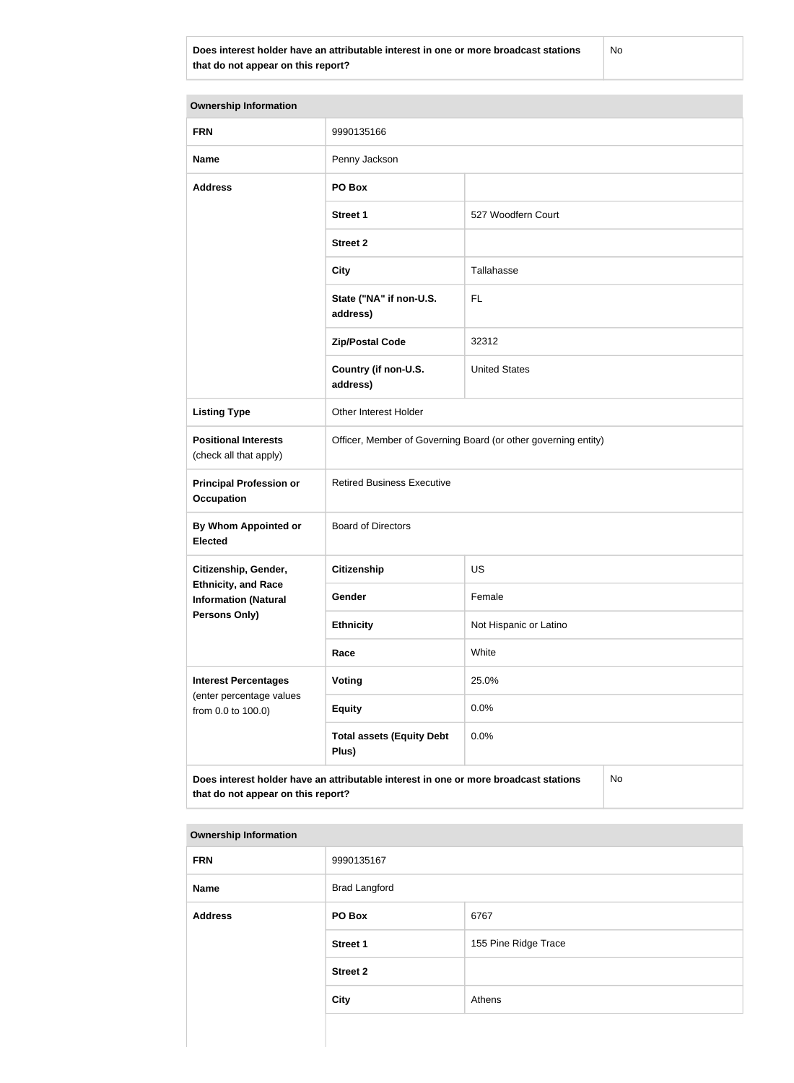**Does interest holder have an attributable interest in one or more broadcast stations that do not appear on this report?**

No

| <b>Ownership Information</b>                                                                                                     |                                                                |                        |  |  |
|----------------------------------------------------------------------------------------------------------------------------------|----------------------------------------------------------------|------------------------|--|--|
| <b>FRN</b>                                                                                                                       | 9990135166                                                     |                        |  |  |
| <b>Name</b>                                                                                                                      | Penny Jackson                                                  |                        |  |  |
| <b>Address</b>                                                                                                                   | PO Box                                                         |                        |  |  |
|                                                                                                                                  | <b>Street 1</b>                                                | 527 Woodfern Court     |  |  |
|                                                                                                                                  | <b>Street 2</b>                                                |                        |  |  |
|                                                                                                                                  | <b>City</b>                                                    | Tallahasse             |  |  |
|                                                                                                                                  | State ("NA" if non-U.S.<br>address)                            | <b>FL</b>              |  |  |
|                                                                                                                                  | <b>Zip/Postal Code</b>                                         | 32312                  |  |  |
|                                                                                                                                  | Country (if non-U.S.<br>address)                               | <b>United States</b>   |  |  |
| <b>Listing Type</b>                                                                                                              | Other Interest Holder                                          |                        |  |  |
| <b>Positional Interests</b><br>(check all that apply)                                                                            | Officer, Member of Governing Board (or other governing entity) |                        |  |  |
| <b>Principal Profession or</b><br><b>Occupation</b>                                                                              | <b>Retired Business Executive</b>                              |                        |  |  |
| <b>By Whom Appointed or</b><br><b>Elected</b>                                                                                    | <b>Board of Directors</b>                                      |                        |  |  |
| Citizenship, Gender,                                                                                                             | <b>Citizenship</b>                                             | <b>US</b>              |  |  |
| <b>Ethnicity, and Race</b><br><b>Information (Natural</b>                                                                        | Gender                                                         | Female                 |  |  |
| <b>Persons Only)</b>                                                                                                             | <b>Ethnicity</b>                                               | Not Hispanic or Latino |  |  |
|                                                                                                                                  | Race                                                           | White                  |  |  |
| <b>Interest Percentages</b><br>(enter percentage values                                                                          | <b>Voting</b>                                                  | 25.0%                  |  |  |
| from 0.0 to 100.0)                                                                                                               | <b>Equity</b>                                                  | 0.0%                   |  |  |
|                                                                                                                                  | <b>Total assets (Equity Debt</b><br>Plus)                      | 0.0%                   |  |  |
| Does interest holder have an attributable interest in one or more broadcast stations<br>No<br>that do not appear on this report? |                                                                |                        |  |  |

#### **Ownership Information**

| <b>FRN</b>     | 9990135167           |                      |  |
|----------------|----------------------|----------------------|--|
| <b>Name</b>    | <b>Brad Langford</b> |                      |  |
| <b>Address</b> | PO Box               | 6767                 |  |
|                | <b>Street 1</b>      | 155 Pine Ridge Trace |  |
|                | <b>Street 2</b>      |                      |  |
|                | City                 | Athens               |  |
|                |                      |                      |  |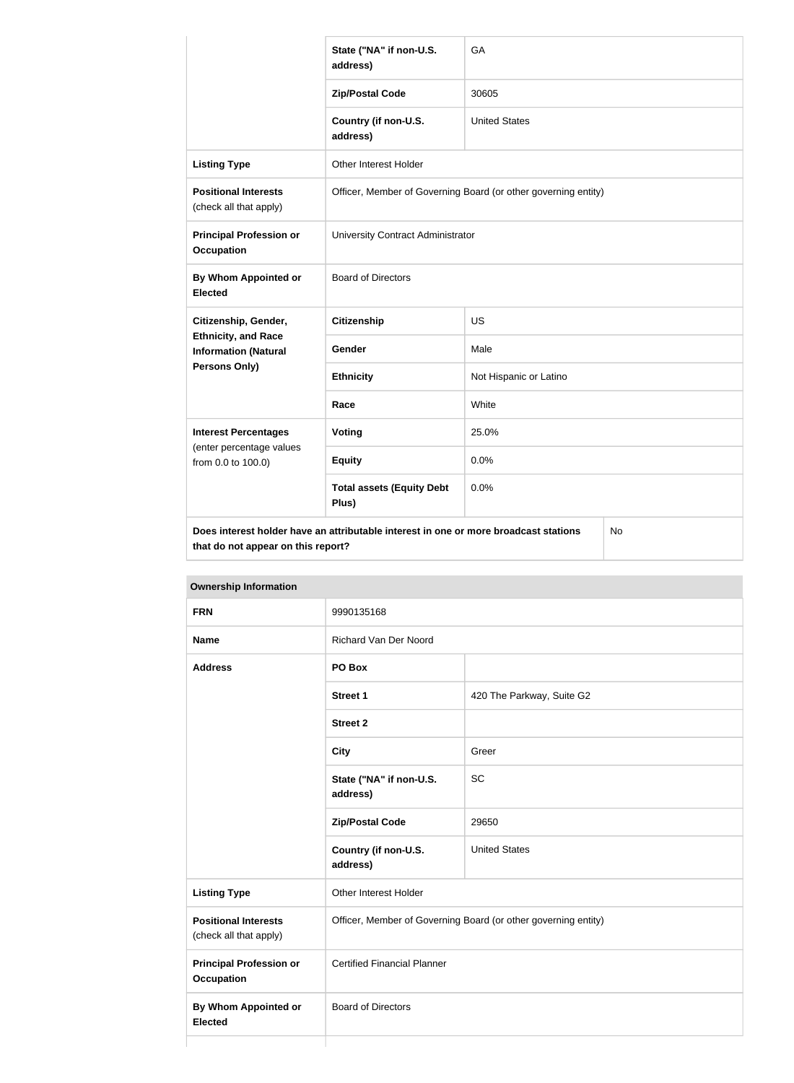|                                                                                                                                         | State ("NA" if non-U.S.<br>address)       | GA                                                             |  |  |
|-----------------------------------------------------------------------------------------------------------------------------------------|-------------------------------------------|----------------------------------------------------------------|--|--|
|                                                                                                                                         | <b>Zip/Postal Code</b>                    | 30605                                                          |  |  |
|                                                                                                                                         | Country (if non-U.S.<br>address)          | <b>United States</b>                                           |  |  |
| <b>Listing Type</b>                                                                                                                     | Other Interest Holder                     |                                                                |  |  |
| <b>Positional Interests</b><br>(check all that apply)                                                                                   |                                           | Officer, Member of Governing Board (or other governing entity) |  |  |
| <b>Principal Profession or</b><br><b>Occupation</b>                                                                                     | University Contract Administrator         |                                                                |  |  |
| By Whom Appointed or<br><b>Elected</b>                                                                                                  | <b>Board of Directors</b>                 |                                                                |  |  |
| Citizenship, Gender,                                                                                                                    | <b>Citizenship</b>                        | <b>US</b>                                                      |  |  |
| <b>Ethnicity, and Race</b><br><b>Information (Natural</b>                                                                               | <b>Gender</b>                             | Male                                                           |  |  |
| <b>Persons Only)</b>                                                                                                                    | <b>Ethnicity</b>                          | Not Hispanic or Latino                                         |  |  |
|                                                                                                                                         | Race                                      | White                                                          |  |  |
| <b>Interest Percentages</b>                                                                                                             | Voting                                    | 25.0%                                                          |  |  |
| (enter percentage values<br>from 0.0 to 100.0)                                                                                          | <b>Equity</b>                             | 0.0%                                                           |  |  |
|                                                                                                                                         | <b>Total assets (Equity Debt</b><br>Plus) | 0.0%                                                           |  |  |
| Does interest holder have an attributable interest in one or more broadcast stations<br><b>No</b><br>that do not appear on this report? |                                           |                                                                |  |  |

| <b>FRN</b>                                            | 9990135168                                                     |                           |  |
|-------------------------------------------------------|----------------------------------------------------------------|---------------------------|--|
| <b>Name</b>                                           | Richard Van Der Noord                                          |                           |  |
| <b>Address</b>                                        | PO Box                                                         |                           |  |
|                                                       | <b>Street 1</b>                                                | 420 The Parkway, Suite G2 |  |
|                                                       | <b>Street 2</b>                                                |                           |  |
|                                                       | <b>City</b>                                                    | Greer                     |  |
|                                                       | State ("NA" if non-U.S.<br>address)                            | SC                        |  |
|                                                       | <b>Zip/Postal Code</b>                                         | 29650                     |  |
|                                                       | Country (if non-U.S.<br>address)                               | <b>United States</b>      |  |
| <b>Listing Type</b>                                   | Other Interest Holder                                          |                           |  |
| <b>Positional Interests</b><br>(check all that apply) | Officer, Member of Governing Board (or other governing entity) |                           |  |
| <b>Principal Profession or</b><br><b>Occupation</b>   | <b>Certified Financial Planner</b>                             |                           |  |
| <b>By Whom Appointed or</b><br><b>Elected</b>         | <b>Board of Directors</b>                                      |                           |  |